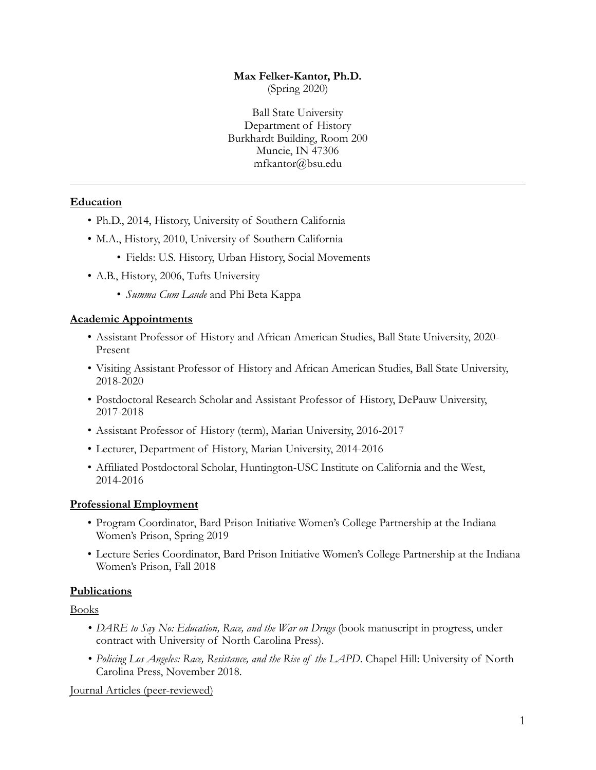# **Max Felker-Kantor, Ph.D.**

(Spring 2020)

Ball State University Department of History Burkhardt Building, Room 200 Muncie, IN 47306 mfkantor@bsu.edu

# **Education**

- Ph.D., 2014, History, University of Southern California
- M.A., History, 2010, University of Southern California
	- Fields: U.S. History, Urban History, Social Movements
- A.B., History, 2006, Tufts University
	- *Summa Cum Laude* and Phi Beta Kappa

#### **Academic Appointments**

- Assistant Professor of History and African American Studies, Ball State University, 2020- Present
- Visiting Assistant Professor of History and African American Studies, Ball State University, 2018-2020
- Postdoctoral Research Scholar and Assistant Professor of History, DePauw University, 2017-2018
- Assistant Professor of History (term), Marian University, 2016-2017
- Lecturer, Department of History, Marian University, 2014-2016
- Affiliated Postdoctoral Scholar, Huntington-USC Institute on California and the West, 2014-2016

#### **Professional Employment**

- Program Coordinator, Bard Prison Initiative Women's College Partnership at the Indiana Women's Prison, Spring 2019
- Lecture Series Coordinator, Bard Prison Initiative Women's College Partnership at the Indiana Women's Prison, Fall 2018

#### **Publications**

Books

- *• DARE to Say No: Education, Race, and the War on Drugs* (book manuscript in progress, under contract with University of North Carolina Press).
- *• Policing Los Angeles: Race, Resistance, and the Rise of the LAPD*. Chapel Hill: University of North Carolina Press, November 2018.

Journal Articles (peer-reviewed)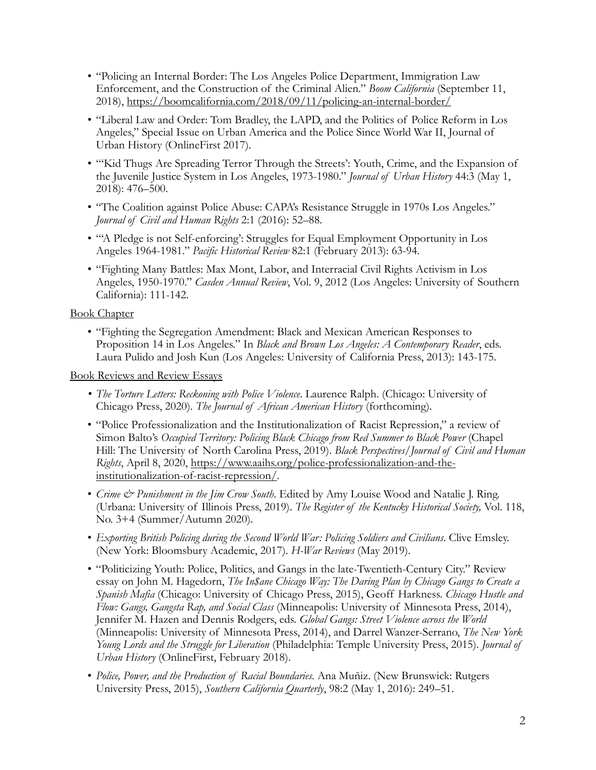- "Policing an Internal Border: The Los Angeles Police Department, Immigration Law Enforcement, and the Construction of the Criminal Alien." *Boom California* (September 11, 2018),<https://boomcalifornia.com/2018/09/11/policing-an-internal-border/>
- "Liberal Law and Order: Tom Bradley, the LAPD, and the Politics of Police Reform in Los Angeles," Special Issue on Urban America and the Police Since World War II, Journal of Urban History (OnlineFirst 2017).
- "'Kid Thugs Are Spreading Terror Through the Streets': Youth, Crime, and the Expansion of the Juvenile Justice System in Los Angeles, 1973-1980." *Journal of Urban History* 44:3 (May 1, 2018): 476–500.
- "The Coalition against Police Abuse: CAPA's Resistance Struggle in 1970s Los Angeles." *Journal of Civil and Human Rights* 2:1 (2016): 52–88.
- "'A Pledge is not Self-enforcing': Struggles for Equal Employment Opportunity in Los Angeles 1964-1981." *Pacific Historical Review* 82:1 (February 2013): 63-94.
- "Fighting Many Battles: Max Mont, Labor, and Interracial Civil Rights Activism in Los Angeles, 1950-1970." *Casden Annual Review*, Vol. 9, 2012 (Los Angeles: University of Southern California): 111-142.

# Book Chapter

• "Fighting the Segregation Amendment: Black and Mexican American Responses to Proposition 14 in Los Angeles." In *Black and Brown Los Angeles: A Contemporary Reader*, eds. Laura Pulido and Josh Kun (Los Angeles: University of California Press, 2013): 143-175.

Book Reviews and Review Essays

- *• The Torture Letters: Reckoning with Police Violence*. Laurence Ralph. (Chicago: University of Chicago Press, 2020). *The Journal of African American History* (forthcoming).
- "Police Professionalization and the Institutionalization of Racist Repression," a review of Simon Balto's *Occupied Territory: Policing Black Chicago from Red Summer to Black Power* (Chapel Hill: The University of North Carolina Press, 2019). *Black Perspectives/Journal of Civil and Human Rights*[, April 8, 2020, https://www.aaihs.org/police-professionalization-and-the](https://www.aaihs.org/police-professionalization-and-the-institutionalization-of-racist-repression/)[institutionalization-of-racist-repression/.](https://www.aaihs.org/police-professionalization-and-the-institutionalization-of-racist-repression/)
- *Crime & Punishment in the Jim Crow South*. Edited by Amy Louise Wood and Natalie J. Ring. (Urbana: University of Illinois Press, 2019). *The Register of the Kentucky Historical Society,* Vol. 118, No. 3+4 (Summer/Autumn 2020).
- *Exporting British Policing during the Second World War: Policing Soldiers and Civilians*. Clive Emsley. (New York: Bloomsbury Academic, 2017). *H-War Reviews* (May 2019).
- "Politicizing Youth: Police, Politics, and Gangs in the late-Twentieth-Century City." Review essay on John M. Hagedorn, *The In\$ane Chicago Way: The Daring Plan by Chicago Gangs to Create a Spanish Mafia* (Chicago: University of Chicago Press, 2015), Geoff Harkness. *Chicago Hustle and Flow: Gangs, Gangsta Rap, and Social Class* (Minneapolis: University of Minnesota Press, 2014), Jennifer M. Hazen and Dennis Rodgers, eds. *Global Gangs: Street Violence across the World* (Minneapolis: University of Minnesota Press, 2014), and Darrel Wanzer-Serrano, *The New York Young Lords and the Struggle for Liberation* (Philadelphia: Temple University Press, 2015). *Journal of Urban History* (OnlineFirst, February 2018).
- *Police, Power, and the Production of Racial Boundaries*. Ana Muñiz. (New Brunswick: Rutgers University Press, 2015), *Southern California Quarterly*, 98:2 (May 1, 2016): 249–51.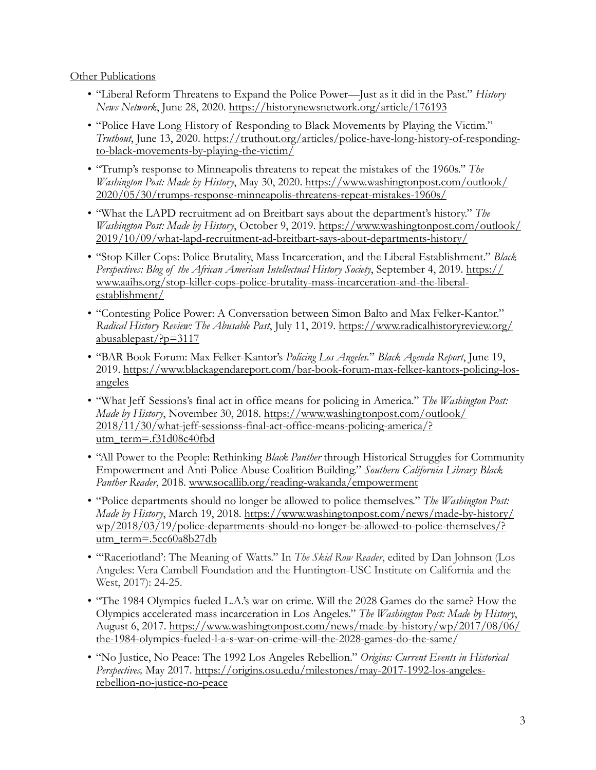#### Other Publications

- "Liberal Reform Threatens to Expand the Police Power—Just as it did in the Past." *History News Network*, June 28, 2020.<https://historynewsnetwork.org/article/176193>
- "Police Have Long History of Responding to Black Movements by Playing the Victim." *Truthout*[, June 13, 2020. https://truthout.org/articles/police-have-long-history-of-responding](https://truthout.org/articles/police-have-long-history-of-responding-to-black-movements-by-playing-the-victim/)[to-black-movements-by-playing-the-victim/](https://truthout.org/articles/police-have-long-history-of-responding-to-black-movements-by-playing-the-victim/)
- "Trump's response to Minneapolis threatens to repeat the mistakes of the 1960s." *The Washington Post: Made by History*[, May 30, 2020. https://www.washingtonpost.com/outlook/](https://www.washingtonpost.com/outlook/2020/05/30/trumps-response-minneapolis-threatens-repeat-mistakes-1960s/) [2020/05/30/trumps-response-minneapolis-threatens-repeat-mistakes-1960s/](https://www.washingtonpost.com/outlook/2020/05/30/trumps-response-minneapolis-threatens-repeat-mistakes-1960s/)
- "What the LAPD recruitment ad on Breitbart says about the department's history." *The Washington Post: Made by History*[, October 9, 2019. https://www.washingtonpost.com/outlook/](https://www.washingtonpost.com/outlook/2019/10/09/what-lapd-recruitment-ad-breitbart-says-about-departments-history/) [2019/10/09/what-lapd-recruitment-ad-breitbart-says-about-departments-history/](https://www.washingtonpost.com/outlook/2019/10/09/what-lapd-recruitment-ad-breitbart-says-about-departments-history/)
- "Stop Killer Cops: Police Brutality, Mass Incarceration, and the Liberal Establishment." *Black [Perspectives: Blog of the African American Intellectual History Society](https://www.aaihs.org/stop-killer-cops-police-brutality-mass-incarceration-and-the-liberal-establishment/)*, September 4, 2019. [https://](https://www.aaihs.org/stop-killer-cops-police-brutality-mass-incarceration-and-the-liberal-establishment/) [www.aaihs.org/stop-killer-cops-police-brutality-mass-incarceration-and-the-liberal](https://www.aaihs.org/stop-killer-cops-police-brutality-mass-incarceration-and-the-liberal-establishment/)[establishment/](https://www.aaihs.org/stop-killer-cops-police-brutality-mass-incarceration-and-the-liberal-establishment/)
- "Contesting Police Power: A Conversation between Simon Balto and Max Felker-Kantor." *Radical History Review: The Abusable Past*, July 11, 2019. [https://www.radicalhistoryreview.org/](https://www.radicalhistoryreview.org/abusablepast/?p=3117) [abusablepast/?p=3117](https://www.radicalhistoryreview.org/abusablepast/?p=3117)
- "BAR Book Forum: Max Felker-Kantor's *Policing Los Angeles.*" *Black Agenda Report*, June 19, [2019. https://www.blackagendareport.com/bar-book-forum-max-felker-kantors-policing-los](https://www.blackagendareport.com/bar-book-forum-max-felker-kantors-policing-los-angeles)[angeles](https://www.blackagendareport.com/bar-book-forum-max-felker-kantors-policing-los-angeles)
- "What Jeff Sessions's final act in office means for policing in America." *The Washington Post: Made by History*[, November 30, 2018. https://www.washingtonpost.com/outlook/](https://www.washingtonpost.com/outlook/2018/11/30/what-jeff-sessionss-final-act-office-means-policing-america/?utm_term=.f31d08c40fbd) [2018/11/30/what-jeff-sessionss-final-act-office-means-policing-america/?](https://www.washingtonpost.com/outlook/2018/11/30/what-jeff-sessionss-final-act-office-means-policing-america/?utm_term=.f31d08c40fbd) [utm\\_term=.f31d08c40fbd](https://www.washingtonpost.com/outlook/2018/11/30/what-jeff-sessionss-final-act-office-means-policing-america/?utm_term=.f31d08c40fbd)
- "All Power to the People: Rethinking *Black Panther* through Historical Struggles for Community Empowerment and Anti-Police Abuse Coalition Building." *Southern California Library Black Panther Reader*, 2018. [www.socallib.org/reading-wakanda/empowerment](http://www.socallib.org/reading-wakanda/empowerment)
- "Police departments should no longer be allowed to police themselves." *The Washington Post: Made by History*[, March 19, 2018. https://www.washingtonpost.com/news/made-by-history/](https://www.washingtonpost.com/news/made-by-history/wp/2018/03/19/police-departments-should-no-longer-be-allowed-to-police-themselves/?utm_term=.5cc60a8b27db) [wp/2018/03/19/police-departments-should-no-longer-be-allowed-to-police-themselves/?](https://www.washingtonpost.com/news/made-by-history/wp/2018/03/19/police-departments-should-no-longer-be-allowed-to-police-themselves/?utm_term=.5cc60a8b27db) utm\_term=.5cc60a8b27db
- "'Raceriotland': The Meaning of Watts." In *The Skid Row Reader*, edited by Dan Johnson (Los Angeles: Vera Cambell Foundation and the Huntington-USC Institute on California and the West, 2017): 24-25.
- "The 1984 Olympics fueled L.A.'s war on crime. Will the 2028 Games do the same? How the Olympics accelerated mass incarceration in Los Angeles." *The Washington Post: Made by History*, [August 6, 2017. https://www.washingtonpost.com/news/made-by-history/wp/2017/08/06/](https://www.washingtonpost.com/news/made-by-history/wp/2017/08/06/the-1984-olympics-fueled-l-a-s-war-on-crime-will-the-2028-games-do-the-same/) [the-1984-olympics-fueled-l-a-s-war-on-crime-will-the-2028-games-do-the-same/](https://www.washingtonpost.com/news/made-by-history/wp/2017/08/06/the-1984-olympics-fueled-l-a-s-war-on-crime-will-the-2028-games-do-the-same/)
- "No Justice, No Peace: The 1992 Los Angeles Rebellion." *Origins: Current Events in Historical Perspectives,* [May 2017. https://origins.osu.edu/milestones/may-2017-1992-los-angeles](https://origins.osu.edu/milestones/may-2017-1992-los-angeles-rebellion-no-justice-no-peace)[rebellion-no-justice-no-peace](https://origins.osu.edu/milestones/may-2017-1992-los-angeles-rebellion-no-justice-no-peace)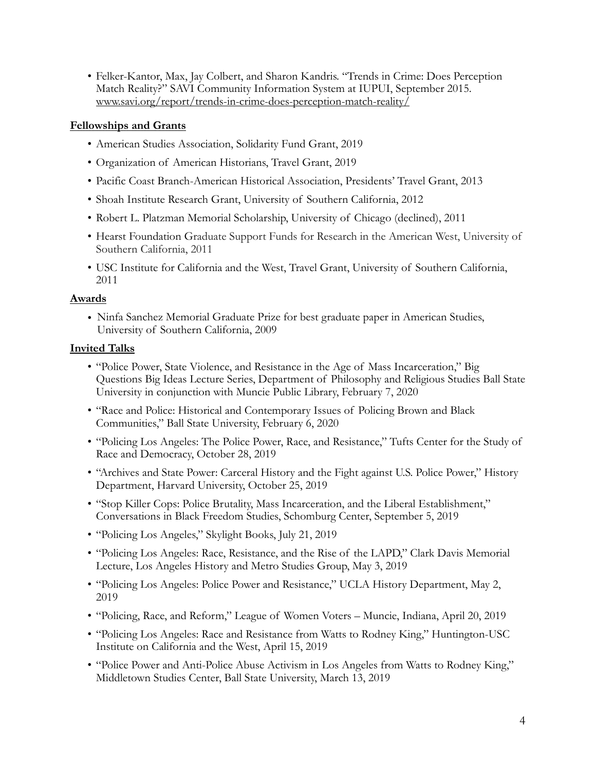• Felker-Kantor, Max, Jay Colbert, and Sharon Kandris. "Trends in Crime: Does Perception Match Reality?" SAVI Community Information System at IUPUI, September 2015. [www.savi.org/report/trends-in-crime-does-perception-match-reality/](http://www.savi.org/report/trends-in-crime-does-perception-match-reality/) 

#### **Fellowships and Grants**

- American Studies Association, Solidarity Fund Grant, 2019
- Organization of American Historians, Travel Grant, 2019
- Pacific Coast Branch-American Historical Association, Presidents' Travel Grant, 2013
- Shoah Institute Research Grant, University of Southern California, 2012
- Robert L. Platzman Memorial Scholarship, University of Chicago (declined), 2011
- Hearst Foundation Graduate Support Funds for Research in the American West, University of Southern California, 2011
- USC Institute for California and the West, Travel Grant, University of Southern California, 2011

#### **Awards**

• Ninfa Sanchez Memorial Graduate Prize for best graduate paper in American Studies, University of Southern California, 2009

#### **Invited Talks**

- "Police Power, State Violence, and Resistance in the Age of Mass Incarceration," Big Questions Big Ideas Lecture Series, Department of Philosophy and Religious Studies Ball State University in conjunction with Muncie Public Library, February 7, 2020
- "Race and Police: Historical and Contemporary Issues of Policing Brown and Black Communities," Ball State University, February 6, 2020
- "Policing Los Angeles: The Police Power, Race, and Resistance," Tufts Center for the Study of Race and Democracy, October 28, 2019
- "Archives and State Power: Carceral History and the Fight against U.S. Police Power," History Department, Harvard University, October 25, 2019
- "Stop Killer Cops: Police Brutality, Mass Incarceration, and the Liberal Establishment," Conversations in Black Freedom Studies, Schomburg Center, September 5, 2019
- "Policing Los Angeles," Skylight Books, July 21, 2019
- "Policing Los Angeles: Race, Resistance, and the Rise of the LAPD," Clark Davis Memorial Lecture, Los Angeles History and Metro Studies Group, May 3, 2019
- "Policing Los Angeles: Police Power and Resistance," UCLA History Department, May 2, 2019
- "Policing, Race, and Reform," League of Women Voters Muncie, Indiana, April 20, 2019
- "Policing Los Angeles: Race and Resistance from Watts to Rodney King," Huntington-USC Institute on California and the West, April 15, 2019
- "Police Power and Anti-Police Abuse Activism in Los Angeles from Watts to Rodney King," Middletown Studies Center, Ball State University, March 13, 2019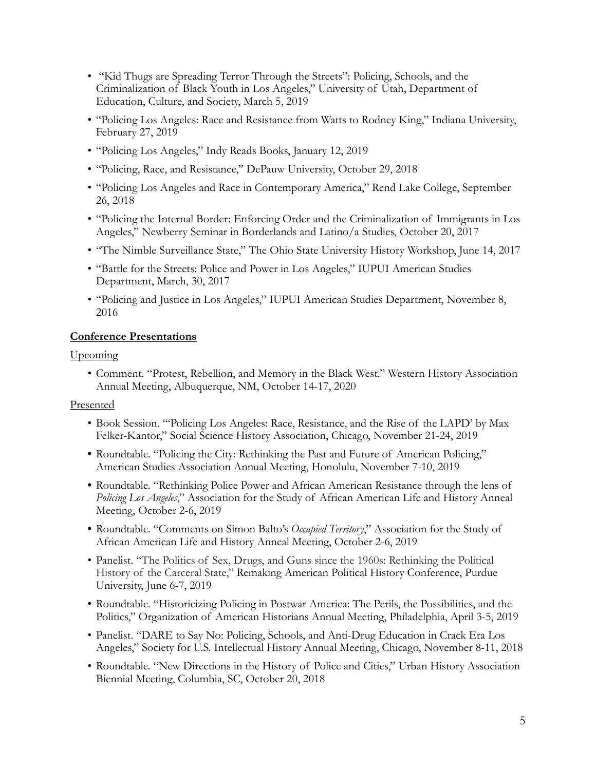- "Kid Thugs are Spreading Terror Through the Streets": Policing, Schools, and the Criminalization of Black Youth in Los Angeles," University of Utah, Department of Education, Culture, and Society, March 5, 2019
- "Policing Los Angeles: Race and Resistance from Watts to Rodney King," Indiana University, February 27, 2019
- "Policing Los Angeles," Indy Reads Books, January 12, 2019
- "Policing, Race, and Resistance," DePauw University, October 29, 2018
- "Policing Los Angeles and Race in Contemporary America," Rend Lake College, September 26, 2018
- "Policing the Internal Border: Enforcing Order and the Criminalization of Immigrants in Los Angeles," Newberry Seminar in Borderlands and Latino/a Studies, October 20, 2017
- "The Nimble Surveillance State," The Ohio State University History Workshop, June 14, 2017
- "Battle for the Streets: Police and Power in Los Angeles," IUPUI American Studies Department, March, 30, 2017
- "Policing and Justice in Los Angeles," IUPUI American Studies Department, November 8, 2016

#### **Conference Presentations**

Upcoming

• Comment. "Protest, Rebellion, and Memory in the Black West." Western History Association Annual Meeting, Albuquerque, NM, October 14-17, 2020

#### Presented

- Book Session. "'Policing Los Angeles: Race, Resistance, and the Rise of the LAPD' by Max Felker-Kantor," Social Science History Association, Chicago, November 21-24, 2019
- **•** Roundtable. "Policing the City: Rethinking the Past and Future of American Policing," American Studies Association Annual Meeting, Honolulu, November 7-10, 2019
- **•** Roundtable. "Rethinking Police Power and African American Resistance through the lens of *Policing Los Angeles*," Association for the Study of African American Life and History Anneal Meeting, October 2-6, 2019
- **•** Roundtable. "Comments on Simon Balto's *Occupied Territory*," Association for the Study of African American Life and History Anneal Meeting, October 2-6, 2019
- Panelist. "The Politics of Sex, Drugs, and Guns since the 1960s: Rethinking the Political History of the Carceral State," Remaking American Political History Conference, Purdue University, June 6-7, 2019
- Roundtable. "Historicizing Policing in Postwar America: The Perils, the Possibilities, and the Politics," Organization of American Historians Annual Meeting, Philadelphia, April 3-5, 2019
- Panelist. "DARE to Say No: Policing, Schools, and Anti-Drug Education in Crack Era Los Angeles," Society for U.S. Intellectual History Annual Meeting, Chicago, November 8-11, 2018
- Roundtable. "New Directions in the History of Police and Cities," Urban History Association Biennial Meeting, Columbia, SC, October 20, 2018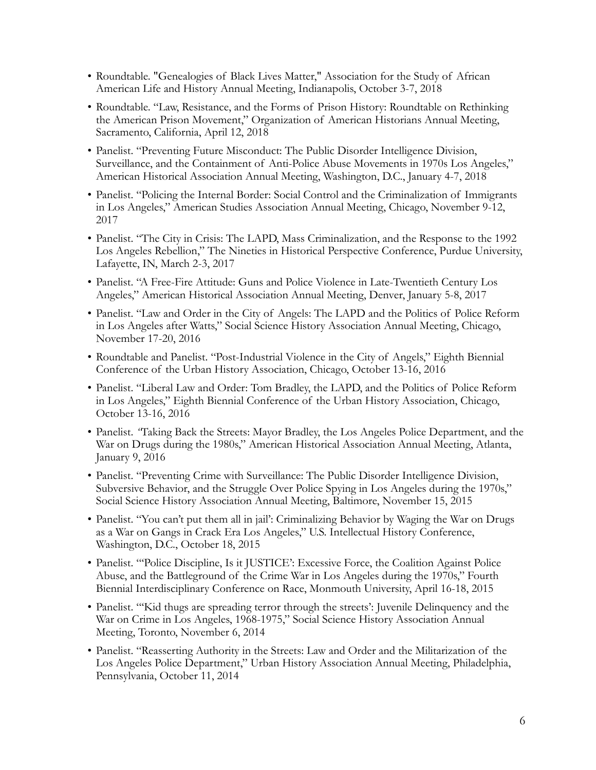- Roundtable. "Genealogies of Black Lives Matter," Association for the Study of African American Life and History Annual Meeting, Indianapolis, October 3-7, 2018
- Roundtable. "Law, Resistance, and the Forms of Prison History: Roundtable on Rethinking the American Prison Movement," Organization of American Historians Annual Meeting, Sacramento, California, April 12, 2018
- Panelist. "Preventing Future Misconduct: The Public Disorder Intelligence Division, Surveillance, and the Containment of Anti-Police Abuse Movements in 1970s Los Angeles," American Historical Association Annual Meeting, Washington, D.C., January 4-7, 2018
- Panelist. "Policing the Internal Border: Social Control and the Criminalization of Immigrants in Los Angeles," American Studies Association Annual Meeting, Chicago, November 9-12, 2017
- Panelist. "The City in Crisis: The LAPD, Mass Criminalization, and the Response to the 1992 Los Angeles Rebellion," The Nineties in Historical Perspective Conference, Purdue University, Lafayette, IN, March 2-3, 2017
- Panelist. "A Free-Fire Attitude: Guns and Police Violence in Late-Twentieth Century Los Angeles," American Historical Association Annual Meeting, Denver, January 5-8, 2017
- Panelist. "Law and Order in the City of Angels: The LAPD and the Politics of Police Reform in Los Angeles after Watts," Social Science History Association Annual Meeting, Chicago, November 17-20, 2016
- Roundtable and Panelist. "Post-Industrial Violence in the City of Angels," Eighth Biennial Conference of the Urban History Association, Chicago, October 13-16, 2016
- Panelist. "Liberal Law and Order: Tom Bradley, the LAPD, and the Politics of Police Reform in Los Angeles," Eighth Biennial Conference of the Urban History Association, Chicago, October 13-16, 2016
- Panelist. *"*Taking Back the Streets: Mayor Bradley, the Los Angeles Police Department, and the War on Drugs during the 1980s," American Historical Association Annual Meeting, Atlanta, January 9, 2016
- Panelist. "Preventing Crime with Surveillance: The Public Disorder Intelligence Division, Subversive Behavior, and the Struggle Over Police Spying in Los Angeles during the 1970s," Social Science History Association Annual Meeting, Baltimore, November 15, 2015
- Panelist. "You can't put them all in jail': Criminalizing Behavior by Waging the War on Drugs as a War on Gangs in Crack Era Los Angeles," U.S. Intellectual History Conference, Washington, D.C., October 18, 2015
- Panelist. "'Police Discipline, Is it JUSTICE': Excessive Force, the Coalition Against Police Abuse, and the Battleground of the Crime War in Los Angeles during the 1970s," Fourth Biennial Interdisciplinary Conference on Race, Monmouth University, April 16-18, 2015
- Panelist. "'Kid thugs are spreading terror through the streets': Juvenile Delinquency and the War on Crime in Los Angeles, 1968-1975," Social Science History Association Annual Meeting, Toronto, November 6, 2014
- Panelist. "Reasserting Authority in the Streets: Law and Order and the Militarization of the Los Angeles Police Department," Urban History Association Annual Meeting, Philadelphia, Pennsylvania, October 11, 2014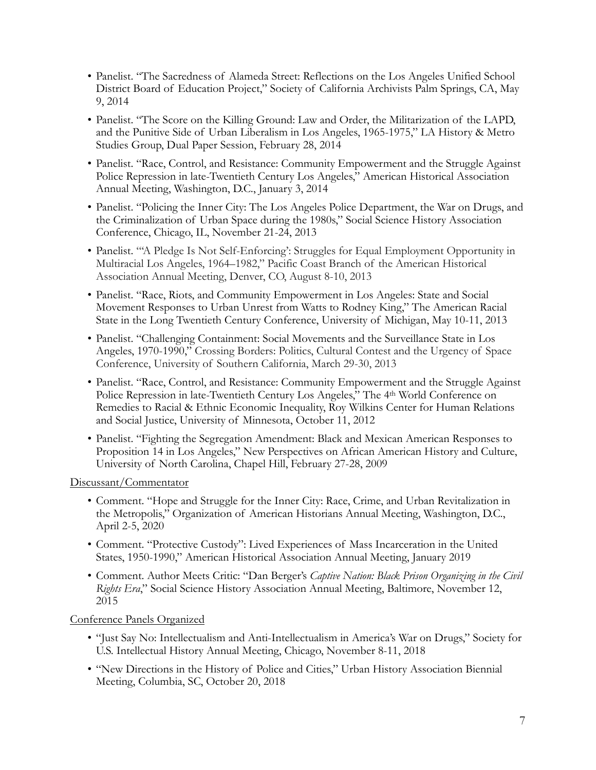- Panelist. "The Sacredness of Alameda Street: Reflections on the Los Angeles Unified School District Board of Education Project," Society of California Archivists Palm Springs, CA, May 9, 2014
- Panelist. "The Score on the Killing Ground: Law and Order, the Militarization of the LAPD, and the Punitive Side of Urban Liberalism in Los Angeles, 1965-1975," LA History & Metro Studies Group, Dual Paper Session, February 28, 2014
- Panelist. "Race, Control, and Resistance: Community Empowerment and the Struggle Against Police Repression in late-Twentieth Century Los Angeles," American Historical Association Annual Meeting, Washington, D.C., January 3, 2014
- Panelist. "Policing the Inner City: The Los Angeles Police Department, the War on Drugs, and the Criminalization of Urban Space during the 1980s," Social Science History Association Conference, Chicago, IL, November 21-24, 2013
- Panelist. "'A Pledge Is Not Self-Enforcing': Struggles for Equal Employment Opportunity in Multiracial Los Angeles, 1964–1982," Pacific Coast Branch of the American Historical Association Annual Meeting, Denver, CO, August 8-10, 2013
- Panelist. "Race, Riots, and Community Empowerment in Los Angeles: State and Social Movement Responses to Urban Unrest from Watts to Rodney King," The American Racial State in the Long Twentieth Century Conference, University of Michigan, May 10-11, 2013
- Panelist. "Challenging Containment: Social Movements and the Surveillance State in Los Angeles, 1970-1990," Crossing Borders: Politics, Cultural Contest and the Urgency of Space Conference, University of Southern California, March 29-30, 2013
- Panelist. "Race, Control, and Resistance: Community Empowerment and the Struggle Against Police Repression in late-Twentieth Century Los Angeles," The 4th World Conference on Remedies to Racial & Ethnic Economic Inequality, Roy Wilkins Center for Human Relations and Social Justice, University of Minnesota, October 11, 2012
- Panelist. "Fighting the Segregation Amendment: Black and Mexican American Responses to Proposition 14 in Los Angeles," New Perspectives on African American History and Culture, University of North Carolina, Chapel Hill, February 27-28, 2009

Discussant/Commentator

- Comment. "Hope and Struggle for the Inner City: Race, Crime, and Urban Revitalization in the Metropolis," Organization of American Historians Annual Meeting, Washington, D.C., April 2-5, 2020
- Comment. "Protective Custody": Lived Experiences of Mass Incarceration in the United States, 1950-1990," American Historical Association Annual Meeting, January 2019
- Comment. Author Meets Critic: "Dan Berger's *Captive Nation: Black Prison Organizing in the Civil Rights Era*," Social Science History Association Annual Meeting, Baltimore, November 12, 2015

Conference Panels Organized

- "Just Say No: Intellectualism and Anti-Intellectualism in America's War on Drugs," Society for U.S. Intellectual History Annual Meeting, Chicago, November 8-11, 2018
- "New Directions in the History of Police and Cities," Urban History Association Biennial Meeting, Columbia, SC, October 20, 2018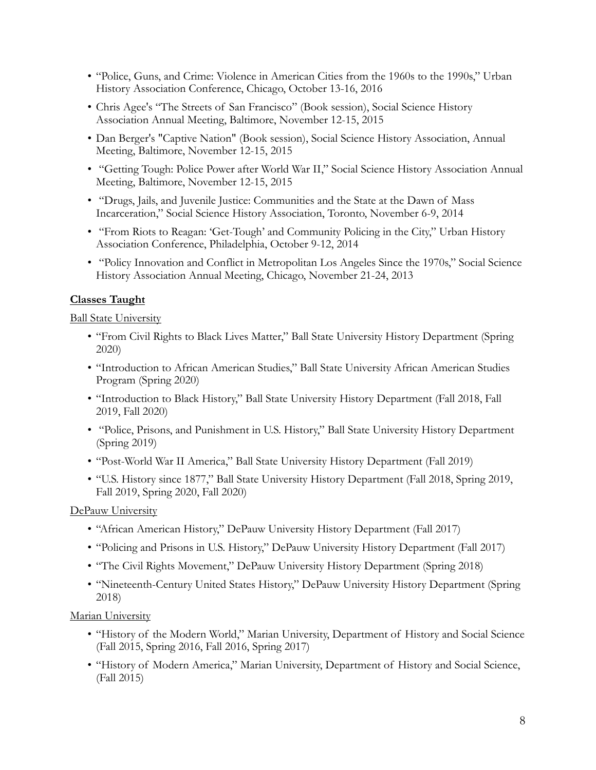- "Police, Guns, and Crime: Violence in American Cities from the 1960s to the 1990s," Urban History Association Conference, Chicago, October 13-16, 2016
- Chris Agee's "The Streets of San Francisco" (Book session), Social Science History Association Annual Meeting, Baltimore, November 12-15, 2015
- Dan Berger's "Captive Nation" (Book session), Social Science History Association, Annual Meeting, Baltimore, November 12-15, 2015
- "Getting Tough: Police Power after World War II," Social Science History Association Annual Meeting, Baltimore, November 12-15, 2015
- "Drugs, Jails, and Juvenile Justice: Communities and the State at the Dawn of Mass Incarceration," Social Science History Association, Toronto, November 6-9, 2014
- "From Riots to Reagan: 'Get-Tough' and Community Policing in the City," Urban History Association Conference, Philadelphia, October 9-12, 2014
- "Policy Innovation and Conflict in Metropolitan Los Angeles Since the 1970s," Social Science History Association Annual Meeting, Chicago, November 21-24, 2013

# **Classes Taught**

Ball State University

- "From Civil Rights to Black Lives Matter," Ball State University History Department (Spring 2020)
- "Introduction to African American Studies," Ball State University African American Studies Program (Spring 2020)
- "Introduction to Black History," Ball State University History Department (Fall 2018, Fall 2019, Fall 2020)
- "Police, Prisons, and Punishment in U.S. History," Ball State University History Department (Spring 2019)
- "Post-World War II America," Ball State University History Department (Fall 2019)
- "U.S. History since 1877," Ball State University History Department (Fall 2018, Spring 2019, Fall 2019, Spring 2020, Fall 2020)

DePauw University

- "African American History," DePauw University History Department (Fall 2017)
- "Policing and Prisons in U.S. History," DePauw University History Department (Fall 2017)
- "The Civil Rights Movement," DePauw University History Department (Spring 2018)
- "Nineteenth-Century United States History," DePauw University History Department (Spring 2018)

Marian University

- "History of the Modern World," Marian University, Department of History and Social Science (Fall 2015, Spring 2016, Fall 2016, Spring 2017)
- "History of Modern America," Marian University, Department of History and Social Science, (Fall 2015)